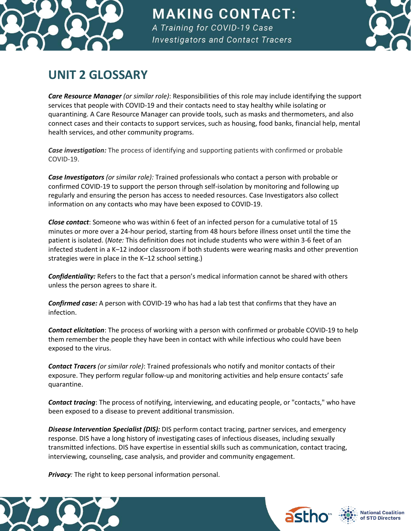

## **MAKING CONTACT:** A Training for COVID-19 Case **Investigators and Contact Tracers**



## **UNIT 2 GLOSSARY**

*Care Resource Manager (or similar role)*: Responsibilities of this role may include identifying the support services that people with COVID-19 and their contacts need to stay healthy while isolating or quarantining. A Care Resource Manager can provide tools, such as masks and thermometers, and also connect cases and their contacts to support services, such as housing, food banks, financial help, mental health services, and other community programs.

*Case investigation:* The process of identifying and supporting patients with confirmed or probable COVID-19.

*Case Investigators (or similar role):* Trained professionals who contact a person with probable or confirmed COVID-19 to support the person through self-isolation by monitoring and following up regularly and ensuring the person has access to needed resources. Case Investigators also collect information on any contacts who may have been exposed to COVID-19.

*Close contact*: Someone who was within 6 feet of an infected person for a cumulative total of 15 minutes or more over a 24-hour period, starting from 48 hours before illness onset until the time the patient is isolated. (*Note:* This definition does not include students who were within 3-6 feet of an infected student in a K–12 indoor classroom if both students were wearing masks and other prevention strategies were in place in the K–12 school setting.)

*Confidentiality:* Refers to the fact that a person's medical information cannot be shared with others unless the person agrees to share it.

*Confirmed case:* A person with COVID-19 who has had a lab test that confirms that they have an infection.

*Contact elicitation*: The process of working with a person with confirmed or probable COVID-19 to help them remember the people they have been in contact with while infectious who could have been exposed to the virus.

*Contact Tracers (or similar role)*: Trained professionals who notify and monitor contacts of their exposure. They perform regular follow-up and monitoring activities and help ensure contacts' safe quarantine.

*Contact tracing*: The process of notifying, interviewing, and educating people, or "contacts," who have been exposed to a disease to prevent additional transmission.

*Disease Intervention Specialist (DIS):* DIS perform contact tracing, partner services, and emergency response. DIS have a long history of investigating cases of infectious diseases, including sexually transmitted infections. DIS have expertise in essential skills such as communication, contact tracing, interviewing, counseling, case analysis, and provider and community engagement.

*Privacy:* The right to keep personal information personal.